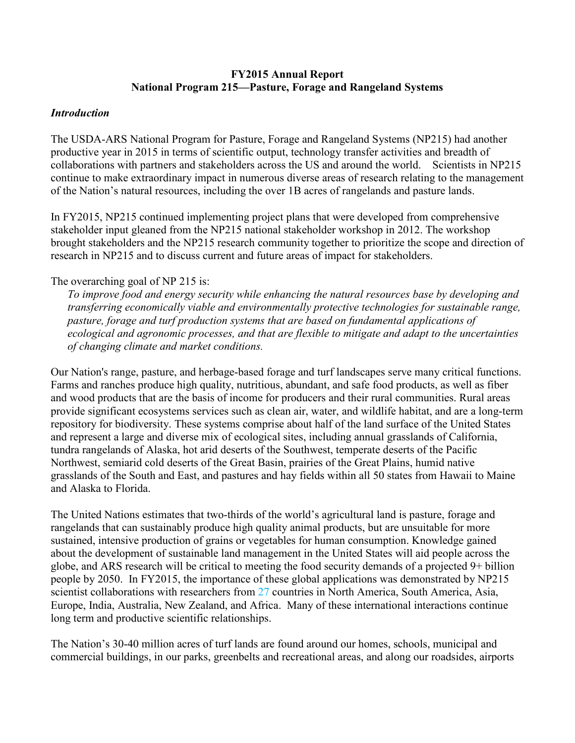## **FY2015 Annual Report National Program 215—Pasture, Forage and Rangeland Systems**

### *Introduction*

The USDA-ARS National Program for Pasture, Forage and Rangeland Systems (NP215) had another productive year in 2015 in terms of scientific output, technology transfer activities and breadth of collaborations with partners and stakeholders across the US and around the world. Scientists in NP215 continue to make extraordinary impact in numerous diverse areas of research relating to the management of the Nation's natural resources, including the over 1B acres of rangelands and pasture lands.

In FY2015, NP215 continued implementing project plans that were developed from comprehensive stakeholder input gleaned from the NP215 national stakeholder workshop in 2012. The workshop brought stakeholders and the NP215 research community together to prioritize the scope and direction of research in NP215 and to discuss current and future areas of impact for stakeholders.

## The overarching goal of NP 215 is:

*To improve food and energy security while enhancing the natural resources base by developing and transferring economically viable and environmentally protective technologies for sustainable range, pasture, forage and turf production systems that are based on fundamental applications of ecological and agronomic processes, and that are flexible to mitigate and adapt to the uncertainties of changing climate and market conditions.* 

Our Nation's range, pasture, and herbage-based forage and turf landscapes serve many critical functions. Farms and ranches produce high quality, nutritious, abundant, and safe food products, as well as fiber and wood products that are the basis of income for producers and their rural communities. Rural areas provide significant ecosystems services such as clean air, water, and wildlife habitat, and are a long-term repository for biodiversity. These systems comprise about half of the land surface of the United States and represent a large and diverse mix of ecological sites, including annual grasslands of California, tundra rangelands of Alaska, hot arid deserts of the Southwest, temperate deserts of the Pacific Northwest, semiarid cold deserts of the Great Basin, prairies of the Great Plains, humid native grasslands of the South and East, and pastures and hay fields within all 50 states from Hawaii to Maine and Alaska to Florida.

The United Nations estimates that two-thirds of the world's agricultural land is pasture, forage and rangelands that can sustainably produce high quality animal products, but are unsuitable for more sustained, intensive production of grains or vegetables for human consumption. Knowledge gained about the development of sustainable land management in the United States will aid people across the globe, and ARS research will be critical to meeting the food security demands of a projected 9+ billion people by 2050. In FY2015, the importance of these global applications was demonstrated by NP215 scientist collaborations with researchers from 27 countries in North America, South America, Asia, Europe, India, Australia, New Zealand, and Africa. Many of these international interactions continue long term and productive scientific relationships.

The Nation's 30-40 million acres of turf lands are found around our homes, schools, municipal and commercial buildings, in our parks, greenbelts and recreational areas, and along our roadsides, airports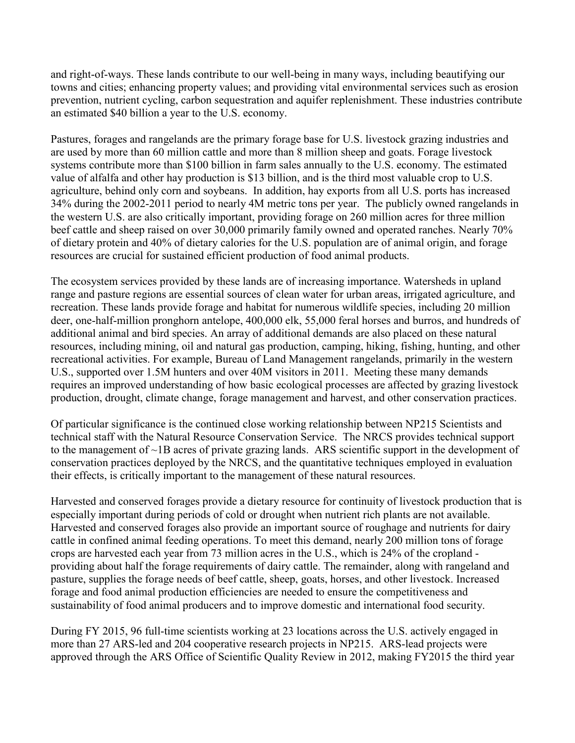and right-of-ways. These lands contribute to our well-being in many ways, including beautifying our towns and cities; enhancing property values; and providing vital environmental services such as erosion prevention, nutrient cycling, carbon sequestration and aquifer replenishment. These industries contribute an estimated \$40 billion a year to the U.S. economy.

Pastures, forages and rangelands are the primary forage base for U.S. livestock grazing industries and are used by more than 60 million cattle and more than 8 million sheep and goats. Forage livestock systems contribute more than \$100 billion in farm sales annually to the U.S. economy. The estimated value of alfalfa and other hay production is \$13 billion, and is the third most valuable crop to U.S. agriculture, behind only corn and soybeans. In addition, hay exports from all U.S. ports has increased 34% during the 2002-2011 period to nearly 4M metric tons per year. The publicly owned rangelands in the western U.S. are also critically important, providing forage on 260 million acres for three million beef cattle and sheep raised on over 30,000 primarily family owned and operated ranches. Nearly 70% of dietary protein and 40% of dietary calories for the U.S. population are of animal origin, and forage resources are crucial for sustained efficient production of food animal products.

The ecosystem services provided by these lands are of increasing importance. Watersheds in upland range and pasture regions are essential sources of clean water for urban areas, irrigated agriculture, and recreation. These lands provide forage and habitat for numerous wildlife species, including 20 million deer, one-half-million pronghorn antelope, 400,000 elk, 55,000 feral horses and burros, and hundreds of additional animal and bird species. An array of additional demands are also placed on these natural resources, including mining, oil and natural gas production, camping, hiking, fishing, hunting, and other recreational activities. For example, Bureau of Land Management rangelands, primarily in the western U.S., supported over 1.5M hunters and over 40M visitors in 2011. Meeting these many demands requires an improved understanding of how basic ecological processes are affected by grazing livestock production, drought, climate change, forage management and harvest, and other conservation practices.

Of particular significance is the continued close working relationship between NP215 Scientists and technical staff with the Natural Resource Conservation Service. The NRCS provides technical support to the management of ~1B acres of private grazing lands. ARS scientific support in the development of conservation practices deployed by the NRCS, and the quantitative techniques employed in evaluation their effects, is critically important to the management of these natural resources.

Harvested and conserved forages provide a dietary resource for continuity of livestock production that is especially important during periods of cold or drought when nutrient rich plants are not available. Harvested and conserved forages also provide an important source of roughage and nutrients for dairy cattle in confined animal feeding operations. To meet this demand, nearly 200 million tons of forage crops are harvested each year from 73 million acres in the U.S., which is 24% of the cropland providing about half the forage requirements of dairy cattle. The remainder, along with rangeland and pasture, supplies the forage needs of beef cattle, sheep, goats, horses, and other livestock. Increased forage and food animal production efficiencies are needed to ensure the competitiveness and sustainability of food animal producers and to improve domestic and international food security.

During FY 2015, 96 full-time scientists working at 23 locations across the U.S. actively engaged in more than 27 ARS-led and 204 cooperative research projects in NP215. ARS-lead projects were approved through the ARS Office of Scientific Quality Review in 2012, making FY2015 the third year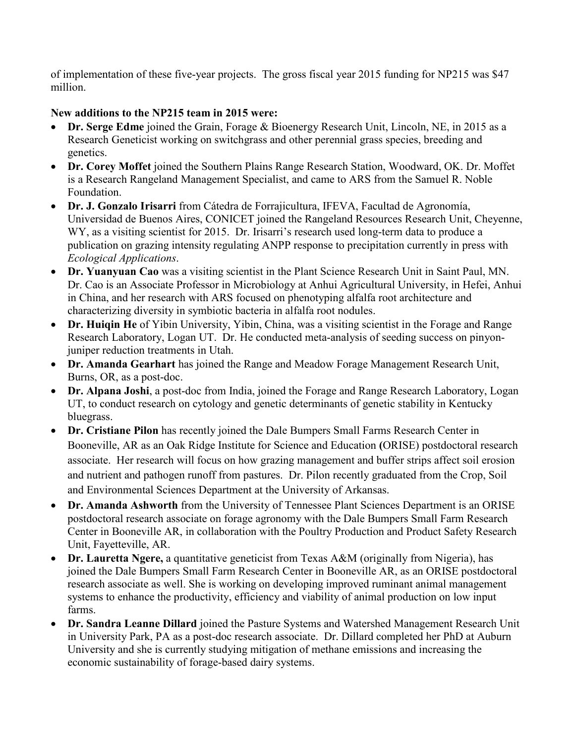of implementation of these five-year projects. The gross fiscal year 2015 funding for NP215 was \$47 million.

# **New additions to the NP215 team in 2015 were:**

- **Dr. Serge Edme** joined the Grain, Forage & Bioenergy Research Unit, Lincoln, NE, in 2015 as a Research Geneticist working on switchgrass and other perennial grass species, breeding and genetics.
- **Dr. Corey Moffet** joined the Southern Plains Range Research Station, Woodward, OK. Dr. Moffet is a Research Rangeland Management Specialist, and came to ARS from the Samuel R. Noble Foundation.
- **Dr. J. Gonzalo Irisarri** from Cátedra de Forrajicultura, IFEVA, Facultad de Agronomía, Universidad de Buenos Aires, CONICET joined the Rangeland Resources Research Unit, Cheyenne, WY, as a visiting scientist for 2015. Dr. Irisarri's research used long-term data to produce a publication on grazing intensity regulating ANPP response to precipitation currently in press with *Ecological Applications*.
- **Dr. Yuanyuan Cao** was a visiting scientist in the Plant Science Research Unit in Saint Paul, MN. Dr. Cao is an Associate Professor in Microbiology at Anhui Agricultural University, in Hefei, Anhui in China, and her research with ARS focused on phenotyping alfalfa root architecture and characterizing diversity in symbiotic bacteria in alfalfa root nodules.
- **Dr. Huiqin He** of Yibin University, Yibin, China, was a visiting scientist in the Forage and Range Research Laboratory, Logan UT. Dr. He conducted meta-analysis of seeding success on pinyonjuniper reduction treatments in Utah.
- **Dr. Amanda Gearhart** has joined the Range and Meadow Forage Management Research Unit, Burns, OR, as a post-doc.
- **Dr. Alpana Joshi**, a post-doc from India, joined the Forage and Range Research Laboratory, Logan UT, to conduct research on cytology and genetic determinants of genetic stability in Kentucky bluegrass.
- **Dr. Cristiane Pilon** has recently joined the Dale Bumpers Small Farms Research Center in Booneville, AR as an Oak Ridge Institute for Science and Education **(**ORISE) postdoctoral research associate. Her research will focus on how grazing management and buffer strips affect soil erosion and nutrient and pathogen runoff from pastures. Dr. Pilon recently graduated from the Crop, Soil and Environmental Sciences Department at the University of Arkansas.
- **Dr. Amanda Ashworth** from the University of Tennessee Plant Sciences Department is an ORISE postdoctoral research associate on forage agronomy with the Dale Bumpers Small Farm Research Center in Booneville AR, in collaboration with the Poultry Production and Product Safety Research Unit, Fayetteville, AR.
- **Dr. Lauretta Ngere,** a quantitative geneticist from Texas A&M (originally from Nigeria), has joined the Dale Bumpers Small Farm Research Center in Booneville AR, as an ORISE postdoctoral research associate as well. She is working on developing improved ruminant animal management systems to enhance the productivity, efficiency and viability of animal production on low input farms.
- **Dr. Sandra Leanne Dillard** joined the Pasture Systems and Watershed Management Research Unit in University Park, PA as a post-doc research associate. Dr. Dillard completed her PhD at Auburn University and she is currently studying mitigation of methane emissions and increasing the economic sustainability of forage-based dairy systems.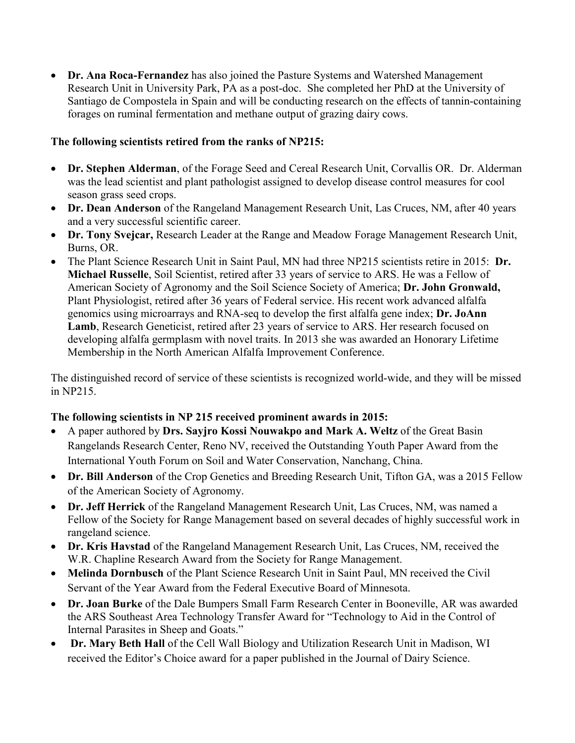• **Dr. Ana Roca-Fernandez** has also joined the Pasture Systems and Watershed Management Research Unit in University Park, PA as a post-doc. She completed her PhD at the University of Santiago de Compostela in Spain and will be conducting research on the effects of tannin-containing forages on ruminal fermentation and methane output of grazing dairy cows.

## **The following scientists retired from the ranks of NP215:**

- **Dr. Stephen Alderman**, of the Forage Seed and Cereal Research Unit, Corvallis OR. Dr. Alderman was the lead scientist and plant pathologist assigned to develop disease control measures for cool season grass seed crops.
- **Dr. Dean Anderson** of the Rangeland Management Research Unit, Las Cruces, NM, after 40 years and a very successful scientific career.
- **Dr. Tony Svejcar,** Research Leader at the Range and Meadow Forage Management Research Unit, Burns, OR.
- The Plant Science Research Unit in Saint Paul, MN had three NP215 scientists retire in 2015: **Dr. Michael Russelle**, Soil Scientist, retired after 33 years of service to ARS. He was a Fellow of American Society of Agronomy and the Soil Science Society of America; **Dr. John Gronwald,** Plant Physiologist, retired after 36 years of Federal service. His recent work advanced alfalfa genomics using microarrays and RNA-seq to develop the first alfalfa gene index; **Dr. JoAnn**  Lamb, Research Geneticist, retired after 23 years of service to ARS. Her research focused on developing alfalfa germplasm with novel traits. In 2013 she was awarded an Honorary Lifetime Membership in the North American Alfalfa Improvement Conference.

The distinguished record of service of these scientists is recognized world-wide, and they will be missed in NP215.

## **The following scientists in NP 215 received prominent awards in 2015:**

- A paper authored by **Drs. Sayjro Kossi Nouwakpo and Mark A. Weltz** of the Great Basin Rangelands Research Center, Reno NV, received the Outstanding Youth Paper Award from the International Youth Forum on Soil and Water Conservation, Nanchang, China.
- **Dr. Bill Anderson** of the Crop Genetics and Breeding Research Unit, Tifton GA, was a 2015 Fellow of the American Society of Agronomy.
- **Dr. Jeff Herrick** of the Rangeland Management Research Unit, Las Cruces, NM, was named a Fellow of the Society for Range Management based on several decades of highly successful work in rangeland science.
- **Dr. Kris Havstad** of the Rangeland Management Research Unit, Las Cruces, NM, received the W.R. Chapline Research Award from the Society for Range Management.
- Melinda Dornbusch of the Plant Science Research Unit in Saint Paul, MN received the Civil Servant of the Year Award from the Federal Executive Board of Minnesota.
- **Dr. Joan Burke** of the Dale Bumpers Small Farm Research Center in Booneville, AR was awarded the ARS Southeast Area Technology Transfer Award for "Technology to Aid in the Control of Internal Parasites in Sheep and Goats."
- **Dr. Mary Beth Hall** of the Cell Wall Biology and Utilization Research Unit in Madison, WI received the Editor's Choice award for a paper published in the Journal of Dairy Science.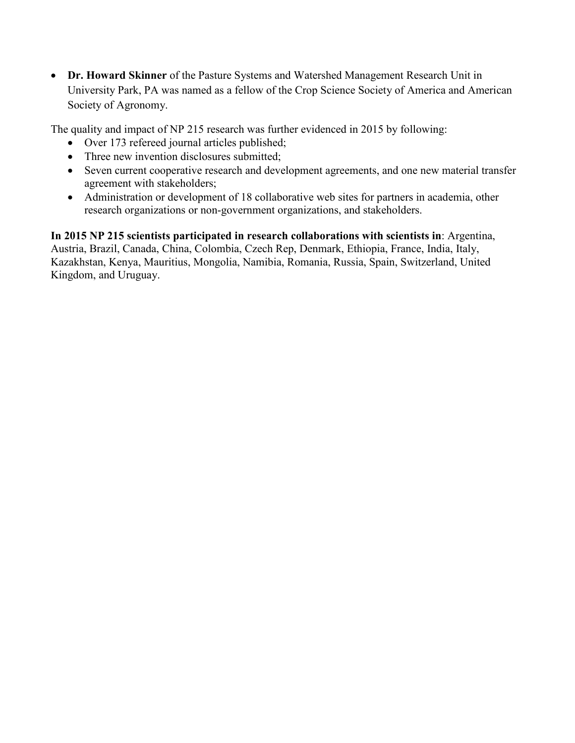• **Dr. Howard Skinner** of the Pasture Systems and Watershed Management Research Unit in University Park, PA was named as a fellow of the Crop Science Society of America and American Society of Agronomy.

The quality and impact of NP 215 research was further evidenced in 2015 by following:

- Over 173 refereed journal articles published;
- Three new invention disclosures submitted:
- Seven current cooperative research and development agreements, and one new material transfer agreement with stakeholders;
- Administration or development of 18 collaborative web sites for partners in academia, other research organizations or non-government organizations, and stakeholders.

**In 2015 NP 215 scientists participated in research collaborations with scientists in**: Argentina, Austria, Brazil, Canada, China, Colombia, Czech Rep, Denmark, Ethiopia, France, India, Italy, Kazakhstan, Kenya, Mauritius, Mongolia, Namibia, Romania, Russia, Spain, Switzerland, United Kingdom, and Uruguay.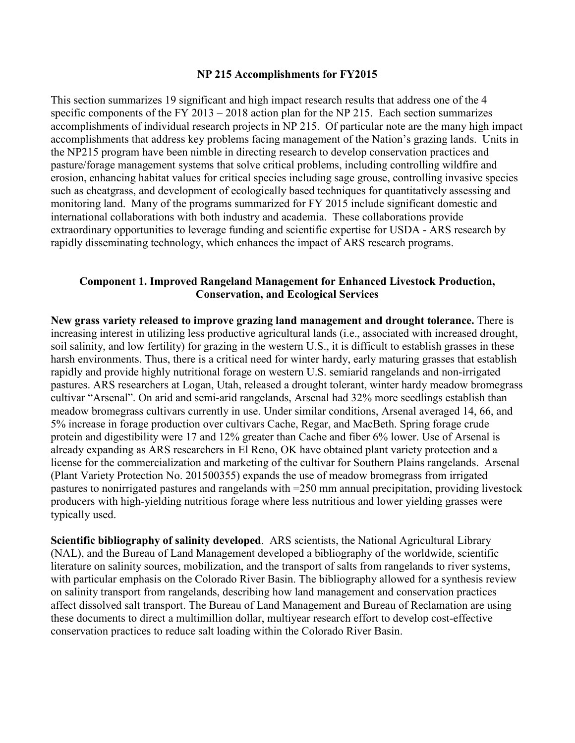#### **NP 215 Accomplishments for FY2015**

This section summarizes 19 significant and high impact research results that address one of the 4 specific components of the FY 2013 – 2018 action plan for the NP 215. Each section summarizes accomplishments of individual research projects in NP 215. Of particular note are the many high impact accomplishments that address key problems facing management of the Nation's grazing lands. Units in the NP215 program have been nimble in directing research to develop conservation practices and pasture/forage management systems that solve critical problems, including controlling wildfire and erosion, enhancing habitat values for critical species including sage grouse, controlling invasive species such as cheatgrass, and development of ecologically based techniques for quantitatively assessing and monitoring land. Many of the programs summarized for FY 2015 include significant domestic and international collaborations with both industry and academia. These collaborations provide extraordinary opportunities to leverage funding and scientific expertise for USDA - ARS research by rapidly disseminating technology, which enhances the impact of ARS research programs.

## **Component 1. Improved Rangeland Management for Enhanced Livestock Production, Conservation, and Ecological Services**

**New grass variety released to improve grazing land management and drought tolerance.** There is increasing interest in utilizing less productive agricultural lands (i.e., associated with increased drought, soil salinity, and low fertility) for grazing in the western U.S., it is difficult to establish grasses in these harsh environments. Thus, there is a critical need for winter hardy, early maturing grasses that establish rapidly and provide highly nutritional forage on western U.S. semiarid rangelands and non-irrigated pastures. ARS researchers at Logan, Utah, released a drought tolerant, winter hardy meadow bromegrass cultivar "Arsenal". On arid and semi-arid rangelands, Arsenal had 32% more seedlings establish than meadow bromegrass cultivars currently in use. Under similar conditions, Arsenal averaged 14, 66, and 5% increase in forage production over cultivars Cache, Regar, and MacBeth. Spring forage crude protein and digestibility were 17 and 12% greater than Cache and fiber 6% lower. Use of Arsenal is already expanding as ARS researchers in El Reno, OK have obtained plant variety protection and a license for the commercialization and marketing of the cultivar for Southern Plains rangelands. Arsenal (Plant Variety Protection No. 201500355) expands the use of meadow bromegrass from irrigated pastures to nonirrigated pastures and rangelands with =250 mm annual precipitation, providing livestock producers with high-yielding nutritious forage where less nutritious and lower yielding grasses were typically used.

**Scientific bibliography of salinity developed**. ARS scientists, the National Agricultural Library (NAL), and the Bureau of Land Management developed a bibliography of the worldwide, scientific literature on salinity sources, mobilization, and the transport of salts from rangelands to river systems, with particular emphasis on the Colorado River Basin. The bibliography allowed for a synthesis review on salinity transport from rangelands, describing how land management and conservation practices affect dissolved salt transport. The Bureau of Land Management and Bureau of Reclamation are using these documents to direct a multimillion dollar, multiyear research effort to develop cost-effective conservation practices to reduce salt loading within the Colorado River Basin.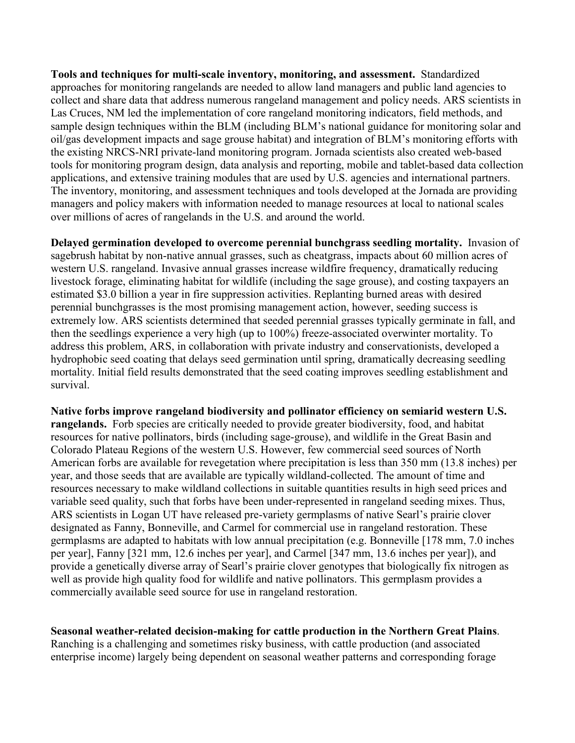**Tools and techniques for multi-scale inventory, monitoring, and assessment.** Standardized approaches for monitoring rangelands are needed to allow land managers and public land agencies to collect and share data that address numerous rangeland management and policy needs. ARS scientists in Las Cruces, NM led the implementation of core rangeland monitoring indicators, field methods, and sample design techniques within the BLM (including BLM's national guidance for monitoring solar and oil/gas development impacts and sage grouse habitat) and integration of BLM's monitoring efforts with the existing NRCS-NRI private-land monitoring program. Jornada scientists also created web-based tools for monitoring program design, data analysis and reporting, mobile and tablet-based data collection applications, and extensive training modules that are used by U.S. agencies and international partners. The inventory, monitoring, and assessment techniques and tools developed at the Jornada are providing managers and policy makers with information needed to manage resources at local to national scales over millions of acres of rangelands in the U.S. and around the world.

**Delayed germination developed to overcome perennial bunchgrass seedling mortality.** Invasion of sagebrush habitat by non-native annual grasses, such as cheatgrass, impacts about 60 million acres of western U.S. rangeland. Invasive annual grasses increase wildfire frequency, dramatically reducing livestock forage, eliminating habitat for wildlife (including the sage grouse), and costing taxpayers an estimated \$3.0 billion a year in fire suppression activities. Replanting burned areas with desired perennial bunchgrasses is the most promising management action, however, seeding success is extremely low. ARS scientists determined that seeded perennial grasses typically germinate in fall, and then the seedlings experience a very high (up to 100%) freeze-associated overwinter mortality. To address this problem, ARS, in collaboration with private industry and conservationists, developed a hydrophobic seed coating that delays seed germination until spring, dramatically decreasing seedling mortality. Initial field results demonstrated that the seed coating improves seedling establishment and survival.

**Native forbs improve rangeland biodiversity and pollinator efficiency on semiarid western U.S. rangelands.** Forb species are critically needed to provide greater biodiversity, food, and habitat resources for native pollinators, birds (including sage-grouse), and wildlife in the Great Basin and Colorado Plateau Regions of the western U.S. However, few commercial seed sources of North American forbs are available for revegetation where precipitation is less than 350 mm (13.8 inches) per year, and those seeds that are available are typically wildland-collected. The amount of time and resources necessary to make wildland collections in suitable quantities results in high seed prices and variable seed quality, such that forbs have been under-represented in rangeland seeding mixes. Thus, ARS scientists in Logan UT have released pre-variety germplasms of native Searl's prairie clover designated as Fanny, Bonneville, and Carmel for commercial use in rangeland restoration. These germplasms are adapted to habitats with low annual precipitation (e.g. Bonneville [178 mm, 7.0 inches per year], Fanny [321 mm, 12.6 inches per year], and Carmel [347 mm, 13.6 inches per year]), and provide a genetically diverse array of Searl's prairie clover genotypes that biologically fix nitrogen as well as provide high quality food for wildlife and native pollinators. This germplasm provides a commercially available seed source for use in rangeland restoration.

**Seasonal weather-related decision-making for cattle production in the Northern Great Plains**. Ranching is a challenging and sometimes risky business, with cattle production (and associated enterprise income) largely being dependent on seasonal weather patterns and corresponding forage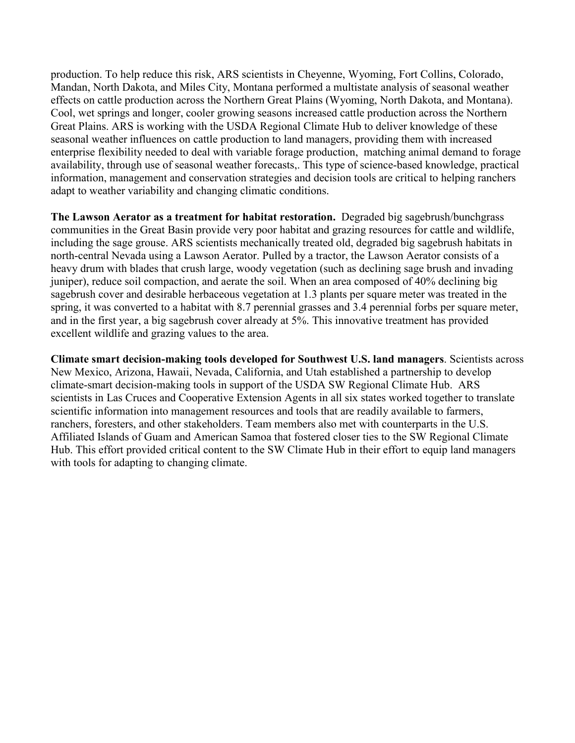production. To help reduce this risk, ARS scientists in Cheyenne, Wyoming, Fort Collins, Colorado, Mandan, North Dakota, and Miles City, Montana performed a multistate analysis of seasonal weather effects on cattle production across the Northern Great Plains (Wyoming, North Dakota, and Montana). Cool, wet springs and longer, cooler growing seasons increased cattle production across the Northern Great Plains. ARS is working with the USDA Regional Climate Hub to deliver knowledge of these seasonal weather influences on cattle production to land managers, providing them with increased enterprise flexibility needed to deal with variable forage production, matching animal demand to forage availability, through use of seasonal weather forecasts,. This type of science-based knowledge, practical information, management and conservation strategies and decision tools are critical to helping ranchers adapt to weather variability and changing climatic conditions.

**The Lawson Aerator as a treatment for habitat restoration.** Degraded big sagebrush/bunchgrass communities in the Great Basin provide very poor habitat and grazing resources for cattle and wildlife, including the sage grouse. ARS scientists mechanically treated old, degraded big sagebrush habitats in north-central Nevada using a Lawson Aerator. Pulled by a tractor, the Lawson Aerator consists of a heavy drum with blades that crush large, woody vegetation (such as declining sage brush and invading juniper), reduce soil compaction, and aerate the soil. When an area composed of 40% declining big sagebrush cover and desirable herbaceous vegetation at 1.3 plants per square meter was treated in the spring, it was converted to a habitat with 8.7 perennial grasses and 3.4 perennial forbs per square meter, and in the first year, a big sagebrush cover already at 5%. This innovative treatment has provided excellent wildlife and grazing values to the area.

**Climate smart decision-making tools developed for Southwest U.S. land managers**. Scientists across New Mexico, Arizona, Hawaii, Nevada, California, and Utah established a partnership to develop climate-smart decision-making tools in support of the USDA SW Regional Climate Hub. ARS scientists in Las Cruces and Cooperative Extension Agents in all six states worked together to translate scientific information into management resources and tools that are readily available to farmers, ranchers, foresters, and other stakeholders. Team members also met with counterparts in the U.S. Affiliated Islands of Guam and American Samoa that fostered closer ties to the SW Regional Climate Hub. This effort provided critical content to the SW Climate Hub in their effort to equip land managers with tools for adapting to changing climate.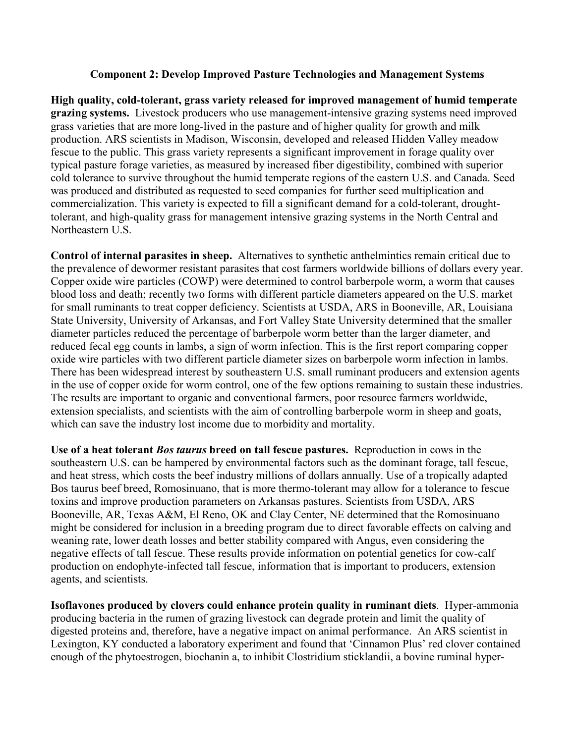## **Component 2: Develop Improved Pasture Technologies and Management Systems**

**High quality, cold-tolerant, grass variety released for improved management of humid temperate grazing systems.** Livestock producers who use management-intensive grazing systems need improved grass varieties that are more long-lived in the pasture and of higher quality for growth and milk production. ARS scientists in Madison, Wisconsin, developed and released Hidden Valley meadow fescue to the public. This grass variety represents a significant improvement in forage quality over typical pasture forage varieties, as measured by increased fiber digestibility, combined with superior cold tolerance to survive throughout the humid temperate regions of the eastern U.S. and Canada. Seed was produced and distributed as requested to seed companies for further seed multiplication and commercialization. This variety is expected to fill a significant demand for a cold-tolerant, droughttolerant, and high-quality grass for management intensive grazing systems in the North Central and Northeastern U.S.

**Control of internal parasites in sheep.** Alternatives to synthetic anthelmintics remain critical due to the prevalence of dewormer resistant parasites that cost farmers worldwide billions of dollars every year. Copper oxide wire particles (COWP) were determined to control barberpole worm, a worm that causes blood loss and death; recently two forms with different particle diameters appeared on the U.S. market for small ruminants to treat copper deficiency. Scientists at USDA, ARS in Booneville, AR, Louisiana State University, University of Arkansas, and Fort Valley State University determined that the smaller diameter particles reduced the percentage of barberpole worm better than the larger diameter, and reduced fecal egg counts in lambs, a sign of worm infection. This is the first report comparing copper oxide wire particles with two different particle diameter sizes on barberpole worm infection in lambs. There has been widespread interest by southeastern U.S. small ruminant producers and extension agents in the use of copper oxide for worm control, one of the few options remaining to sustain these industries. The results are important to organic and conventional farmers, poor resource farmers worldwide, extension specialists, and scientists with the aim of controlling barberpole worm in sheep and goats, which can save the industry lost income due to morbidity and mortality.

**Use of a heat tolerant** *Bos taurus* **breed on tall fescue pastures.** Reproduction in cows in the southeastern U.S. can be hampered by environmental factors such as the dominant forage, tall fescue, and heat stress, which costs the beef industry millions of dollars annually. Use of a tropically adapted Bos taurus beef breed, Romosinuano, that is more thermo-tolerant may allow for a tolerance to fescue toxins and improve production parameters on Arkansas pastures. Scientists from USDA, ARS Booneville, AR, Texas A&M, El Reno, OK and Clay Center, NE determined that the Romosinuano might be considered for inclusion in a breeding program due to direct favorable effects on calving and weaning rate, lower death losses and better stability compared with Angus, even considering the negative effects of tall fescue. These results provide information on potential genetics for cow-calf production on endophyte-infected tall fescue, information that is important to producers, extension agents, and scientists.

**Isoflavones produced by clovers could enhance protein quality in ruminant diets**. Hyper-ammonia producing bacteria in the rumen of grazing livestock can degrade protein and limit the quality of digested proteins and, therefore, have a negative impact on animal performance. An ARS scientist in Lexington, KY conducted a laboratory experiment and found that 'Cinnamon Plus' red clover contained enough of the phytoestrogen, biochanin a, to inhibit Clostridium sticklandii, a bovine ruminal hyper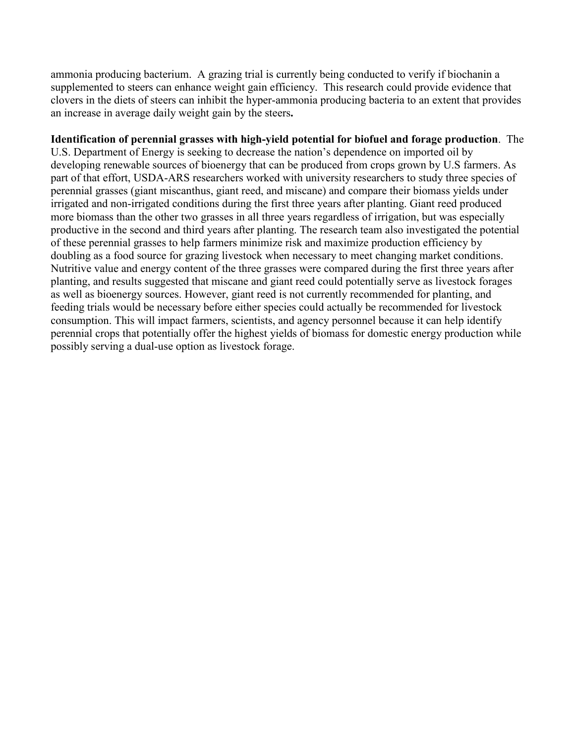ammonia producing bacterium. A grazing trial is currently being conducted to verify if biochanin a supplemented to steers can enhance weight gain efficiency. This research could provide evidence that clovers in the diets of steers can inhibit the hyper-ammonia producing bacteria to an extent that provides an increase in average daily weight gain by the steers**.** 

**Identification of perennial grasses with high-yield potential for biofuel and forage production**. The U.S. Department of Energy is seeking to decrease the nation's dependence on imported oil by developing renewable sources of bioenergy that can be produced from crops grown by U.S farmers. As part of that effort, USDA-ARS researchers worked with university researchers to study three species of perennial grasses (giant miscanthus, giant reed, and miscane) and compare their biomass yields under irrigated and non-irrigated conditions during the first three years after planting. Giant reed produced more biomass than the other two grasses in all three years regardless of irrigation, but was especially productive in the second and third years after planting. The research team also investigated the potential of these perennial grasses to help farmers minimize risk and maximize production efficiency by doubling as a food source for grazing livestock when necessary to meet changing market conditions. Nutritive value and energy content of the three grasses were compared during the first three years after planting, and results suggested that miscane and giant reed could potentially serve as livestock forages as well as bioenergy sources. However, giant reed is not currently recommended for planting, and feeding trials would be necessary before either species could actually be recommended for livestock consumption. This will impact farmers, scientists, and agency personnel because it can help identify perennial crops that potentially offer the highest yields of biomass for domestic energy production while possibly serving a dual-use option as livestock forage.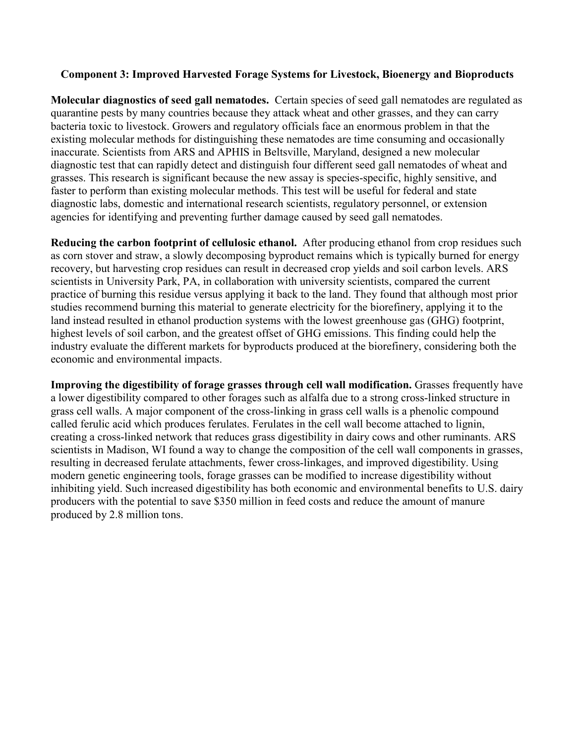## **Component 3: Improved Harvested Forage Systems for Livestock, Bioenergy and Bioproducts**

**Molecular diagnostics of seed gall nematodes.** Certain species of seed gall nematodes are regulated as quarantine pests by many countries because they attack wheat and other grasses, and they can carry bacteria toxic to livestock. Growers and regulatory officials face an enormous problem in that the existing molecular methods for distinguishing these nematodes are time consuming and occasionally inaccurate. Scientists from ARS and APHIS in Beltsville, Maryland, designed a new molecular diagnostic test that can rapidly detect and distinguish four different seed gall nematodes of wheat and grasses. This research is significant because the new assay is species-specific, highly sensitive, and faster to perform than existing molecular methods. This test will be useful for federal and state diagnostic labs, domestic and international research scientists, regulatory personnel, or extension agencies for identifying and preventing further damage caused by seed gall nematodes.

**Reducing the carbon footprint of cellulosic ethanol.** After producing ethanol from crop residues such as corn stover and straw, a slowly decomposing byproduct remains which is typically burned for energy recovery, but harvesting crop residues can result in decreased crop yields and soil carbon levels. ARS scientists in University Park, PA, in collaboration with university scientists, compared the current practice of burning this residue versus applying it back to the land. They found that although most prior studies recommend burning this material to generate electricity for the biorefinery, applying it to the land instead resulted in ethanol production systems with the lowest greenhouse gas (GHG) footprint, highest levels of soil carbon, and the greatest offset of GHG emissions. This finding could help the industry evaluate the different markets for byproducts produced at the biorefinery, considering both the economic and environmental impacts.

**Improving the digestibility of forage grasses through cell wall modification.** Grasses frequently have a lower digestibility compared to other forages such as alfalfa due to a strong cross-linked structure in grass cell walls. A major component of the cross-linking in grass cell walls is a phenolic compound called ferulic acid which produces ferulates. Ferulates in the cell wall become attached to lignin, creating a cross-linked network that reduces grass digestibility in dairy cows and other ruminants. ARS scientists in Madison, WI found a way to change the composition of the cell wall components in grasses, resulting in decreased ferulate attachments, fewer cross-linkages, and improved digestibility. Using modern genetic engineering tools, forage grasses can be modified to increase digestibility without inhibiting yield. Such increased digestibility has both economic and environmental benefits to U.S. dairy producers with the potential to save \$350 million in feed costs and reduce the amount of manure produced by 2.8 million tons.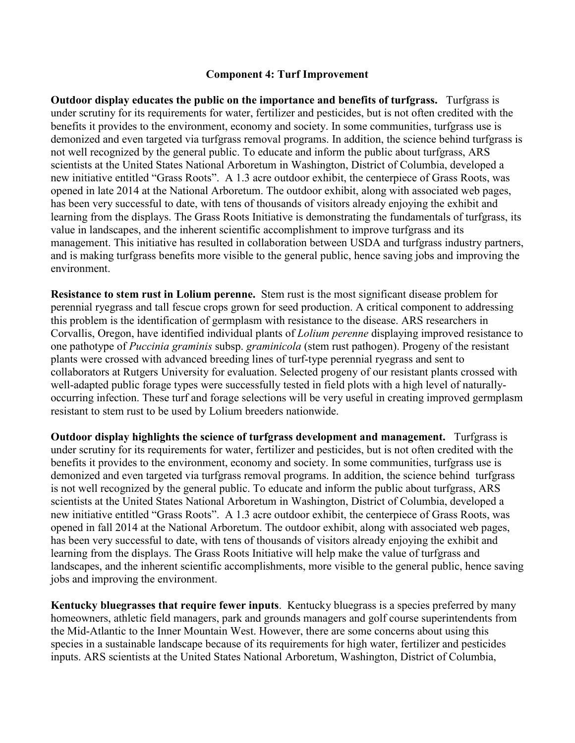## **Component 4: Turf Improvement**

**Outdoor display educates the public on the importance and benefits of turfgrass.** Turfgrass is under scrutiny for its requirements for water, fertilizer and pesticides, but is not often credited with the benefits it provides to the environment, economy and society. In some communities, turfgrass use is demonized and even targeted via turfgrass removal programs. In addition, the science behind turfgrass is not well recognized by the general public. To educate and inform the public about turfgrass, ARS scientists at the United States National Arboretum in Washington, District of Columbia, developed a new initiative entitled "Grass Roots". A 1.3 acre outdoor exhibit, the centerpiece of Grass Roots, was opened in late 2014 at the National Arboretum. The outdoor exhibit, along with associated web pages, has been very successful to date, with tens of thousands of visitors already enjoying the exhibit and learning from the displays. The Grass Roots Initiative is demonstrating the fundamentals of turfgrass, its value in landscapes, and the inherent scientific accomplishment to improve turfgrass and its management. This initiative has resulted in collaboration between USDA and turfgrass industry partners, and is making turfgrass benefits more visible to the general public, hence saving jobs and improving the environment.

**Resistance to stem rust in Lolium perenne.** Stem rust is the most significant disease problem for perennial ryegrass and tall fescue crops grown for seed production. A critical component to addressing this problem is the identification of germplasm with resistance to the disease. ARS researchers in Corvallis, Oregon, have identified individual plants of *Lolium perenne* displaying improved resistance to one pathotype of *Puccinia graminis* subsp. *graminicola* (stem rust pathogen). Progeny of the resistant plants were crossed with advanced breeding lines of turf-type perennial ryegrass and sent to collaborators at Rutgers University for evaluation. Selected progeny of our resistant plants crossed with well-adapted public forage types were successfully tested in field plots with a high level of naturallyoccurring infection. These turf and forage selections will be very useful in creating improved germplasm resistant to stem rust to be used by Lolium breeders nationwide.

**Outdoor display highlights the science of turfgrass development and management.** Turfgrass is under scrutiny for its requirements for water, fertilizer and pesticides, but is not often credited with the benefits it provides to the environment, economy and society. In some communities, turfgrass use is demonized and even targeted via turfgrass removal programs. In addition, the science behind turfgrass is not well recognized by the general public. To educate and inform the public about turfgrass, ARS scientists at the United States National Arboretum in Washington, District of Columbia, developed a new initiative entitled "Grass Roots". A 1.3 acre outdoor exhibit, the centerpiece of Grass Roots, was opened in fall 2014 at the National Arboretum. The outdoor exhibit, along with associated web pages, has been very successful to date, with tens of thousands of visitors already enjoying the exhibit and learning from the displays. The Grass Roots Initiative will help make the value of turfgrass and landscapes, and the inherent scientific accomplishments, more visible to the general public, hence saving jobs and improving the environment.

**Kentucky bluegrasses that require fewer inputs**. Kentucky bluegrass is a species preferred by many homeowners, athletic field managers, park and grounds managers and golf course superintendents from the Mid-Atlantic to the Inner Mountain West. However, there are some concerns about using this species in a sustainable landscape because of its requirements for high water, fertilizer and pesticides inputs. ARS scientists at the United States National Arboretum, Washington, District of Columbia,